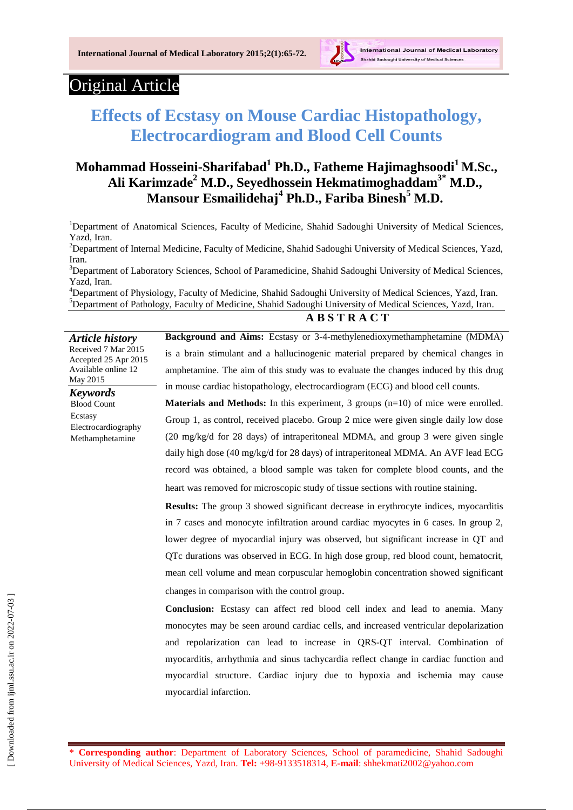

# Original Article

*Article history*

Available online 12

Electrocardiography Methamphetamine

May 2015 *Keywords* Blood Count Ecstasy

# **Effects of Ecstasy on Mouse Cardiac Histopathology, Electrocardiogram and Blood Cell Counts**

# **Mohammad Hosseini-Sharifabad<sup>1</sup> Ph.D., Fatheme Hajimaghsoodi<sup>1</sup>M.Sc., Ali Karimzade<sup>2</sup> M.D., Seyedhossein Hekmatimoghaddam3\* M.D., Mansour Esmailidehaj<sup>4</sup> Ph.D., Fariba Binesh<sup>5</sup> M.D.**

<sup>1</sup>Department of Anatomical Sciences, Faculty of Medicine, Shahid Sadoughi University of Medical Sciences, Yazd, Iran.

<sup>2</sup>Department of Internal Medicine, Faculty of Medicine, Shahid Sadoughi University of Medical Sciences, Yazd, Iran.

<sup>3</sup>Department of Laboratory Sciences, School of Paramedicine, Shahid Sadoughi University of Medical Sciences, Yazd, Iran.

<sup>4</sup>Department of Physiology, Faculty of Medicine, Shahid Sadoughi University of Medical Sciences, Yazd, Iran. <sup>5</sup>Department of Pathology, Faculty of Medicine, Shahid Sadoughi University of Medical Sciences, Yazd, Iran.

### **A B S T R A C T**

Received 7 Mar 2015 Accepted 25 Apr 2015 **Background and Aims:** Ecstasy or 3-4-methylenedioxymethamphetamine (MDMA) is a brain stimulant and a hallucinogenic material prepared by chemical changes in amphetamine. The aim of this study was to evaluate the changes induced by this drug in mouse cardiac histopathology, electrocardiogram (ECG) and blood cell counts.

> **Materials and Methods:** In this experiment, 3 groups (n=10) of mice were enrolled. Group 1, as control, received placebo. Group 2 mice were given single daily low dose (20 mg/kg/d for 28 days) of intraperitoneal MDMA, and group 3 were given single daily high dose (40 mg/kg/d for 28 days) of intraperitoneal MDMA. An AVF lead ECG record was obtained, a blood sample was taken for complete blood counts, and the heart was removed for microscopic study of tissue sections with routine staining.

**Results:** The group 3 showed significant decrease in erythrocyte indices, myocarditis in 7 cases and monocyte infiltration around cardiac myocytes in 6 cases. In group 2, lower degree of myocardial injury was observed, but significant increase in QT and QTc durations was observed in ECG. In high dose group, red blood count, hematocrit, mean cell volume and mean corpuscular hemoglobin concentration showed significant changes in comparison with the control group.

**Conclusion:** Ecstasy can affect red blood cell index and lead to anemia. Many monocytes may be seen around cardiac cells, and increased ventricular depolarization and repolarization can lead to increase in QRS-QT interval. Combination of myocarditis, arrhythmia and sinus tachycardia reflect change in cardiac function and myocardial structure. Cardiac injury due to hypoxia and ischemia may cause myocardial infarction.

<sup>\*</sup> **Corresponding author**: Department of Laboratory Sciences, School of paramedicine, Shahid Sadoughi University of Medical Sciences, Yazd, Iran. **Tel:** +98-9133518314, **E-mail**: shhekmati2002@yahoo.com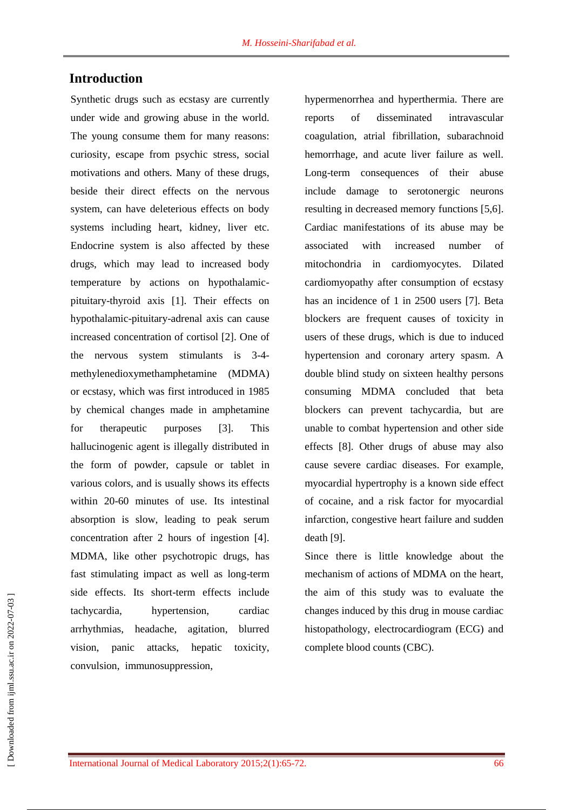## **Introduction**

Synthetic drugs such as ecstasy are currently under wide and growing abuse in the world. The young consume them for many reasons: curiosity, escape from psychic stress, social motivations and others. Many of these drugs, beside their direct effects on the nervous system, can have deleterious effects on body systems including heart, kidney, liver etc. Endocrine system is also affected by these drugs, which may lead to increased body temperature by actions on hypothalamicpituitary-thyroid axis [1]. Their effects on hypothalamic-pituitary-adrenal axis can cause increased concentration of cortisol [2]. One of the nervous system stimulants is 3-4 methylenedioxymethamphetamine (MDMA) or ecstasy, which was first introduced in 1985 by chemical changes made in amphetamine for therapeutic purposes [3]. This hallucinogenic agent is illegally distributed in the form of powder, capsule or tablet in various colors, and is usually shows its effects within 20-60 minutes of use. Its intestinal absorption is slow, leading to peak serum concentration after 2 hours of ingestion [4]. MDMA, like other psychotropic drugs, has fast stimulating impact as well as long-term side effects. Its short-term effects include tachycardia, hypertension, cardiac arrhythmias, headache, agitation, blurred vision, panic attacks, hepatic toxicity, convulsion, immunosuppression,

hypermenorrhea and hyperthermia. There are reports of disseminated intravascular coagulation, atrial fibrillation, subarachnoid hemorrhage, and acute liver failure as well. Long-term consequences of their abuse include damage to serotonergic neurons resulting in decreased memory functions [5,6]. Cardiac manifestations of its abuse may be associated with increased number of mitochondria in cardiomyocytes. Dilated cardiomyopathy after consumption of ecstasy has an incidence of 1 in 2500 users [7]. Beta blockers are frequent causes of toxicity in users of these drugs, which is due to induced hypertension and coronary artery spasm. A double blind study on sixteen healthy persons consuming MDMA concluded that beta blockers can prevent tachycardia, but are unable to combat hypertension and other side effects [8]. Other drugs of abuse may also cause severe cardiac diseases. For example, myocardial hypertrophy is a known side effect of cocaine, and a risk factor for myocardial infarction, congestive heart failure and sudden death [9].

Since there is little knowledge about the mechanism of actions of MDMA on the heart, the aim of this study was to evaluate the changes induced by this drug in mouse cardiac histopathology, electrocardiogram (ECG) and complete blood counts (CBC).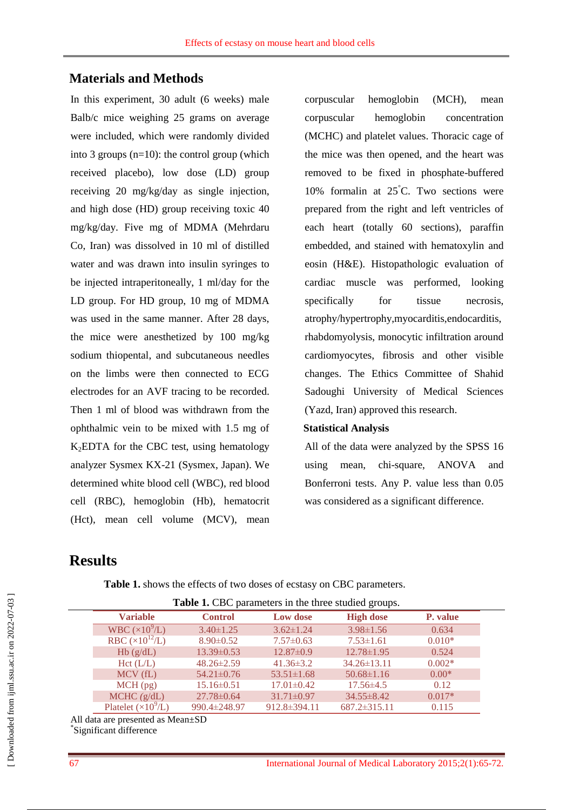## **Materials and Methods**

In this experiment, 30 adult (6 weeks) male Balb/c mice weighing 25 grams on average were included, which were randomly divided into 3 groups (n=10): the control group (which received placebo), low dose (LD) group receiving 20 mg/kg/day as single injection, and high dose (HD) group receiving toxic 40 mg/kg/day. Five mg of MDMA (Mehrdaru Co, Iran) was dissolved in 10 ml of distilled water and was drawn into insulin syringes to be injected intraperitoneally, 1 ml/day for the LD group. For HD group, 10 mg of MDMA was used in the same manner. After 28 days, the mice were anesthetized by 100 mg/kg sodium thiopental, and subcutaneous needles on the limbs were then connected to ECG electrodes for an AVF tracing to be recorded. Then 1 ml of blood was withdrawn from the ophthalmic vein to be mixed with 1.5 mg of K2EDTA for the CBC test, using hematology analyzer Sysmex KX-21 (Sysmex, Japan). We determined white blood cell (WBC), red blood cell (RBC), hemoglobin (Hb), hematocrit (Hct), mean cell volume (MCV), mean

corpuscular hemoglobin (MCH), mean corpuscular hemoglobin concentration (MCHC) and platelet values. Thoracic cage of the mice was then opened, and the heart was removed to be fixed in phosphate-buffered 10% formalin at  $25^{\circ}$ C. Two sections were prepared from the right and left ventricles of each heart (totally 60 sections), paraffin embedded, and stained with hematoxylin and eosin (H&E). Histopathologic evaluation of cardiac muscle was performed, looking specifically for tissue necrosis, atrophy/hypertrophy,myocarditis,endocarditis, rhabdomyolysis, monocytic infiltration around cardiomyocytes, fibrosis and other visible changes. The Ethics Committee of Shahid Sadoughi University of Medical Sciences (Yazd, Iran) approved this research.

#### **Statistical Analysis**

All of the data were analyzed by the SPSS 16 using mean, chi-square, ANOVA and Bonferroni tests. Any P. value less than 0.05 was considered as a significant difference.

# **Results**

**Table 1.** shows the effects of two doses of ecstasy on CBC parameters.

| <b>Table 1.</b> CBC parameters in the three studied groups. |                             |                  |                  |                    |          |  |
|-------------------------------------------------------------|-----------------------------|------------------|------------------|--------------------|----------|--|
|                                                             | <b>Variable</b>             | <b>Control</b>   | <b>Low dose</b>  | <b>High dose</b>   | P. value |  |
|                                                             | WBC $(\times 10^9$ /L)      | $3.40 \pm 1.25$  | $3.62 \pm 1.24$  | $3.98 \pm 1.56$    | 0.634    |  |
|                                                             | RBC $(\times 10^{12}$ /L)   | $8.90 \pm 0.52$  | $7.57\pm0.63$    | $7.53 \pm 1.61$    | $0.010*$ |  |
|                                                             | Hb(g/dL)                    | $13.39\pm0.53$   | $12.87 \pm 0.9$  | $12.78 \pm 1.95$   | 0.524    |  |
|                                                             | Hct(L/L)                    | $48.26 \pm 2.59$ | $41.36 \pm 3.2$  | $34.26 \pm 13.11$  | $0.002*$ |  |
|                                                             | MCV(fL)                     | $54.21 \pm 0.76$ | $53.51 \pm 1.68$ | $50.68 \pm 1.16$   | $0.00*$  |  |
|                                                             | $MCH$ (pg)                  | $15.16 \pm 0.51$ | $17.01 \pm 0.42$ | $17.56 \pm 4.5$    | 0.12     |  |
|                                                             | $MCHC$ ( $g/dL$ )           | $27.78 \pm 0.64$ | $31.71 \pm 0.97$ | $34.55 \pm 8.42$   | $0.017*$ |  |
|                                                             | Platelet $(\times 10^9$ /L) | 990.4±248.97     | 912.8±394.11     | $687.2 \pm 315.11$ | 0.115    |  |

All data are presented as Mean±SD

\* Significant difference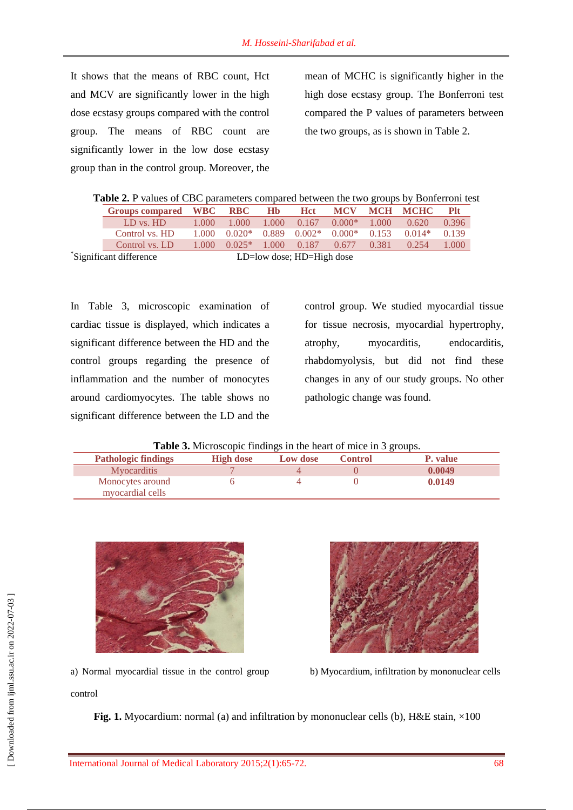It shows that the means of RBC count, Hct and MCV are significantly lower in the high dose ecstasy groups compared with the control group. The means of RBC count are significantly lower in the low dose ecstasy group than in the control group. Moreover, the

mean of MCHC is significantly higher in the high dose ecstasy group. The Bonferroni test compared the P values of parameters between the two groups, as is shown in Table 2.

|  |  |  |  | Table 2. P values of CBC parameters compared between the two groups by Bonferroni test |  |
|--|--|--|--|----------------------------------------------------------------------------------------|--|
|  |  |  |  |                                                                                        |  |

| Groups compared WBC     |        | <b>RBC</b> | H <sub>b</sub> | <b>H</b> ct                       | <b>MCV</b> |       | <b>MCH MCHC</b> | <b>Plt</b> |
|-------------------------|--------|------------|----------------|-----------------------------------|------------|-------|-----------------|------------|
| LD vs. HD               | 1.000- | 1.000      | 1.000          | 0.167                             | $0.000*$   | 1.000 | 0.620           | 0.396      |
| Control vs. HD          | 1.000  | $0.020*$   |                | $0.889$ $0.002*$                  | $0.000*$   | 0.153 | $0.014*$        | 0.139      |
| Control vs. LD          | 1.000  | $0.025*$   |                | 1.000 0.187                       | 0.677      | 0.381 | 0.254           | 1.000      |
| *Significant difference |        |            |                | $LD = low$ dose; $HD = High$ dose |            |       |                 |            |

In Table 3, microscopic examination of cardiac tissue is displayed, which indicates a significant difference between the HD and the control groups regarding the presence of inflammation and the number of monocytes around cardiomyocytes. The table shows no significant difference between the LD and the

control group. We studied myocardial tissue for tissue necrosis, myocardial hypertrophy, atrophy, myocarditis, endocarditis, rhabdomyolysis, but did not find these changes in any of our study groups. No other pathologic change was found.

|  | Table 3. Microscopic findings in the heart of mice in 3 groups. |
|--|-----------------------------------------------------------------|
|  |                                                                 |

|                            |                  |          |                | $\sim$   |
|----------------------------|------------------|----------|----------------|----------|
| <b>Pathologic findings</b> | <b>High dose</b> | Low dose | <b>Control</b> | P. value |
| <b>Myocarditis</b>         |                  |          |                | 0.0049   |
| Monocytes around           |                  |          |                | 0.0149   |
| myocardial cells           |                  |          |                |          |



a) Normal myocardial tissue in the control group



b) Myocardium, infiltration by mononuclear cells

control

**Fig. 1.** Myocardium: normal (a) and infiltration by mononuclear cells (b), H&E stain,  $\times$ 100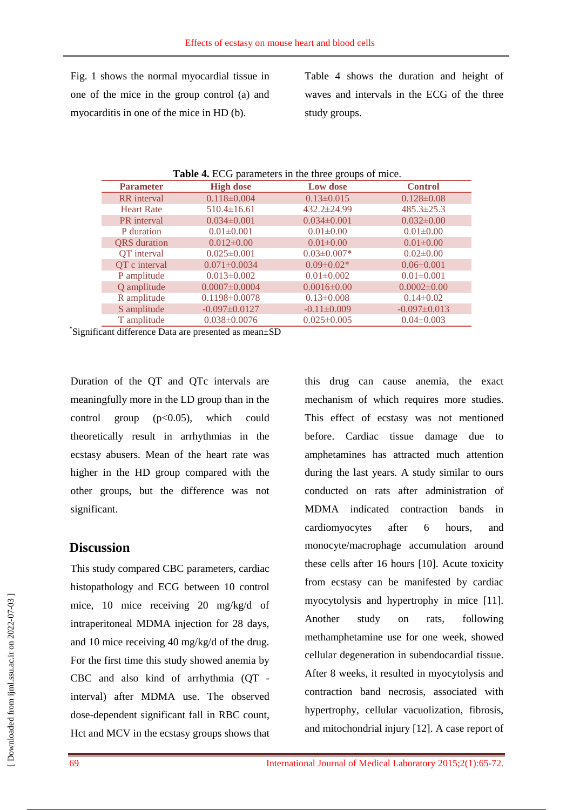Fig. 1 shows the normal myocardial tissue in one of the mice in the group control (a) and myocarditis in one of the mice in HD (b).

Table 4 shows the duration and height of waves and intervals in the ECG of the three study groups.

| Table 4. ECG parameters in the three groups of mice. |                     |                   |                    |  |  |  |  |
|------------------------------------------------------|---------------------|-------------------|--------------------|--|--|--|--|
| <b>Parameter</b>                                     | <b>High dose</b>    | Low dose          | <b>Control</b>     |  |  |  |  |
| <b>RR</b> interval                                   | $0.118 \pm 0.004$   | $0.13 \pm 0.015$  | $0.128 \pm 0.08$   |  |  |  |  |
| <b>Heart Rate</b>                                    | $510.4 \pm 16.61$   | 432.2±24.99       | $485.3 \pm 25.3$   |  |  |  |  |
| PR interval                                          | $0.034 \pm 0.001$   | $0.034 \pm 0.001$ | $0.032 \pm 0.00$   |  |  |  |  |
| P duration                                           | $0.01 \pm 0.001$    | $0.01 \pm 0.00$   | $0.01 \pm 0.00$    |  |  |  |  |
| <b>QRS</b> duration                                  | $0.012 \pm 0.00$    | $0.01 \pm 0.00$   | $0.01 \pm 0.00$    |  |  |  |  |
| QT interval                                          | $0.025 \pm 0.001$   | $0.03 \pm 0.007*$ | $0.02 \pm 0.00$    |  |  |  |  |
| QT c interval                                        | $0.071 \pm 0.0034$  | $0.09 \pm 0.02*$  | $0.06 \pm 0.001$   |  |  |  |  |
| P amplitude                                          | $0.013 \pm 0.002$   | $0.01 \pm 0.002$  | $0.01 \pm 0.001$   |  |  |  |  |
| Q amplitude                                          | $0.0007 \pm 0.0004$ | $0.0016 \pm 0.00$ | $0.0002 \pm 0.00$  |  |  |  |  |
| R amplitude                                          | $0.1198 \pm 0.0078$ | $0.13 \pm 0.008$  | $0.14 \pm 0.02$    |  |  |  |  |
| S amplitude                                          | $-0.097\pm0.0127$   | $-0.11\pm0.009$   | $-0.097 \pm 0.013$ |  |  |  |  |
| T amplitude                                          | $0.038 \pm 0.0076$  | $0.025 \pm 0.005$ | $0.04 \pm 0.003$   |  |  |  |  |

\* Significant difference Data are presented as mean±SD

Duration of the QT and QTc intervals are meaningfully more in the LD group than in the control group  $(p<0.05)$ , which could theoretically result in arrhythmias in the ecstasy abusers. Mean of the heart rate was higher in the HD group compared with the other groups, but the difference was not significant.

### **Discussion**

This study compared CBC parameters, cardiac histopathology and ECG between 10 control mice, 10 mice receiving 20 mg/kg/d of intraperitoneal MDMA injection for 28 days, and 10 mice receiving 40 mg/kg/d of the drug. For the first time this study showed anemia by CBC and also kind of arrhythmia (QT interval) after MDMA use. The observed dose-dependent significant fall in RBC count, Hct and MCV in the ecstasy groups shows that

this drug can cause anemia, the exact mechanism of which requires more studies. This effect of ecstasy was not mentioned before. Cardiac tissue damage due to amphetamines has attracted much attention during the last years. A study similar to ours conducted on rats after administration of MDMA indicated contraction bands in cardiomyocytes after 6 hours, and monocyte/macrophage accumulation around these cells after 16 hours [10]. Acute toxicity from ecstasy can be manifested by cardiac myocytolysis and hypertrophy in mice [11]. Another study on rats, following methamphetamine use for one week, showed cellular degeneration in subendocardial tissue. After 8 weeks, it resulted in myocytolysis and contraction band necrosis, associated with hypertrophy, cellular vacuolization, fibrosis, and mitochondrial injury [12]. A case report of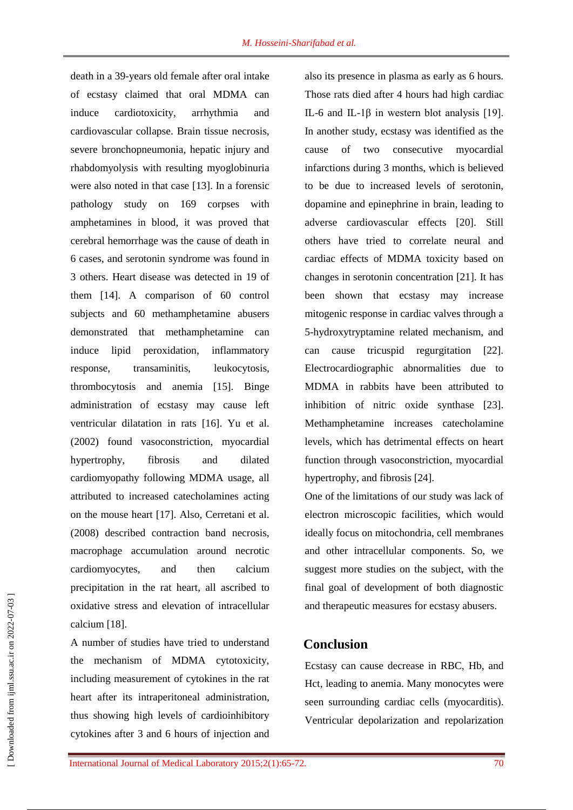death in a 39-years old female after oral intake of ecstasy claimed that oral MDMA can induce cardiotoxicity, arrhythmia and cardiovascular collapse. Brain tissue necrosis, severe bronchopneumonia, hepatic injury and rhabdomyolysis with resulting myoglobinuria were also noted in that case [13]. In a forensic pathology study on 169 corpses with amphetamines in blood, it was proved that cerebral hemorrhage was the cause of death in 6 cases, and serotonin syndrome was found in 3 others. Heart disease was detected in 19 of them [14]. A comparison of 60 control subjects and 60 methamphetamine abusers demonstrated that methamphetamine can induce lipid peroxidation, inflammatory response, transaminitis, leukocytosis, thrombocytosis and anemia [15]. Binge administration of ecstasy may cause left ventricular dilatation in rats [16]. Yu et al. (2002) found vasoconstriction, myocardial hypertrophy, fibrosis and dilated cardiomyopathy following MDMA usage, all attributed to increased catecholamines acting on the mouse heart [17]. Also, Cerretani et al. (2008) described contraction band necrosis, macrophage accumulation around necrotic cardiomyocytes, and then calcium precipitation in the rat heart, all ascribed to oxidative stress and elevation of intracellular calcium [18].

A number of studies have tried to understand the mechanism of MDMA cytotoxicity, including measurement of cytokines in the rat heart after its intraperitoneal administration, thus showing high levels of cardioinhibitory cytokines after 3 and 6 hours of injection and

also its presence in plasma as early as 6 hours. Those rats died after 4 hours had high cardiac IL-6 and IL-1β in western blot analysis [19]. In another study, ecstasy was identified as the cause of two consecutive myocardial infarctions during 3 months, which is believed to be due to increased levels of serotonin, dopamine and epinephrine in brain, leading to adverse cardiovascular effects [20]. Still others have tried to correlate neural and cardiac effects of MDMA toxicity based on changes in serotonin concentration [21]. It has been shown that ecstasy may increase mitogenic response in cardiac valves through a 5-hydroxytryptamine related mechanism, and can cause tricuspid regurgitation [22]. Electrocardiographic abnormalities due to MDMA in rabbits have been attributed to inhibition of nitric oxide synthase [23]. Methamphetamine increases catecholamine levels, which has detrimental effects on heart function through vasoconstriction, myocardial hypertrophy, and fibrosis [24].

One of the limitations of our study was lack of electron microscopic facilities, which would ideally focus on mitochondria, cell membranes and other intracellular components. So, we suggest more studies on the subject, with the final goal of development of both diagnostic and therapeutic measures for ecstasy abusers.

### **Conclusion**

Ecstasy can cause decrease in RBC, Hb, and Hct, leading to anemia. Many monocytes were seen surrounding cardiac cells (myocarditis). Ventricular depolarization and repolarization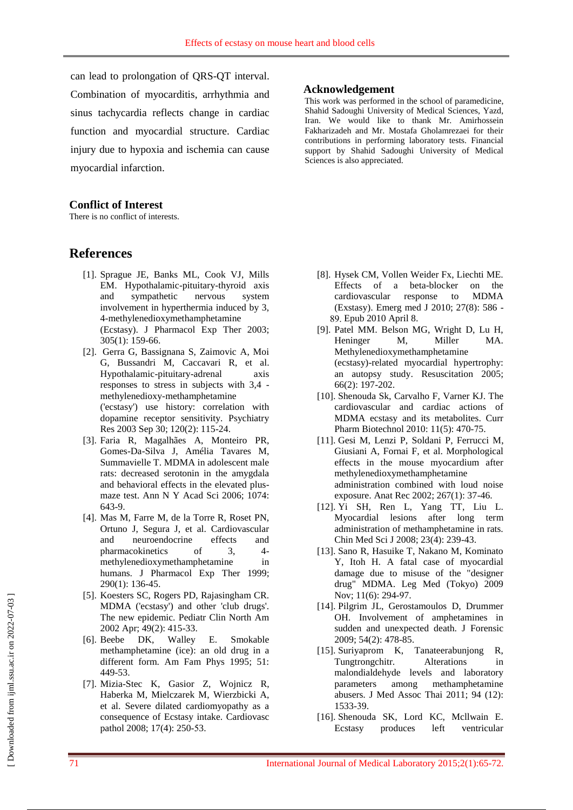can lead to prolongation of QRS-QT interval. Combination of myocarditis, arrhythmia and sinus tachycardia reflects change in cardiac function and myocardial structure. Cardiac injury due to hypoxia and ischemia can cause myocardial infarction.

#### **Conflict of Interest**

There is no conflict of interests.

### **References**

- [1]. Sprague JE, Banks ML, Cook VJ, Mills EM. Hypothalamic-pituitary-thyroid axis and sympathetic nervous system involvement in hyperthermia induced by 3, 4-methylenedioxymethamphetamine (Ecstasy). J Pharmacol Exp Ther 2003; 305(1): 159-66.
- [2]. Gerra G, Bassignana S, Zaimovic A, Moi G, Bussandri M, Caccavari R, et al. Hypothalamic-pituitary-adrenal axis responses to stress in subjects with 3,4 methylenedioxy-methamphetamine ('ecstasy') use history: correlation with dopamine receptor sensitivity. Psychiatry Res 2003 Sep 30; 120(2): 115-24.
- [3]. Faria R, Magalhães A, Monteiro PR, Gomes-Da-Silva J, Amélia Tavares M, Summavielle T. MDMA in adolescent male rats: decreased serotonin in the amygdala and behavioral effects in the elevated plusmaze test. Ann N Y Acad Sci 2006; 1074: 643-9.
- [4]. Mas M, Farre M, de la Torre R, Roset PN, Ortuno J, Segura J, et al. Cardiovascular and neuroendocrine effects and pharmacokinetics of 3, 4 methylenedioxymethamphetamine in humans. J Pharmacol Exp Ther 1999; 290(1): 136-45.
- [5]. Koesters SC, Rogers PD, Rajasingham CR. MDMA ('ecstasy') and other 'club drugs'. The new epidemic. Pediatr Clin North Am 2002 Apr; 49(2): 415-33.
- [6]. Beebe DK, Walley E. Smokable methamphetamine (ice): an old drug in a different form. Am Fam Phys 1995; 51: 449-53.
- [7]. [Mizia-Stec K,](http://www.ncbi.nlm.nih.gov/pubmed?term=Mizia-Stec%20K%5BAuthor%5D&cauthor=true&cauthor_uid=18402796) [Gasior Z,](http://www.ncbi.nlm.nih.gov/pubmed?term=Gasior%20Z%5BAuthor%5D&cauthor=true&cauthor_uid=18402796) [Wojnicz R,](http://www.ncbi.nlm.nih.gov/pubmed?term=Wojnicz%20R%5BAuthor%5D&cauthor=true&cauthor_uid=18402796) [Haberka M,](http://www.ncbi.nlm.nih.gov/pubmed?term=Haberka%20M%5BAuthor%5D&cauthor=true&cauthor_uid=18402796) [Mielczarek M,](http://www.ncbi.nlm.nih.gov/pubmed?term=Mielczarek%20M%5BAuthor%5D&cauthor=true&cauthor_uid=18402796) [Wierzbicki A,](http://www.ncbi.nlm.nih.gov/pubmed?term=Wierzbicki%20A%5BAuthor%5D&cauthor=true&cauthor_uid=18402796) et al. Severe dilated cardiomyopathy as a consequence of Ecstasy intake. Cardiovasc pathol 2008; 17(4): 250-53.

#### **Acknowledgement**

This work was performed in the school of paramedicine, Shahid Sadoughi University of Medical Sciences, Yazd, Iran. We would like to thank Mr. Amirhossein Fakharizadeh and Mr. Mostafa Gholamrezaei for their contributions in performing laboratory tests. Financial support by Shahid Sadoughi University of Medical Sciences is also appreciated.

- [8]. Hysek CM, Vollen Weider Fx, Liechti ME. Effects of a beta-blocker on the cardiovascular response to MDMA (Exstasy). Emerg med J 2010; 27(8): 586 - 89. Epub 2010 April 8.
- [9]. Patel MM. Belson MG, Wright D, Lu H, Heninger M, Miller MA. Methylenedioxymethamphetamine (ecstasy)-related myocardial hypertrophy: an autopsy study. Resuscitation 2005; 66(2): 197-202.
- [10]. Shenouda Sk, Carvalho F, Varner KJ. The cardiovascular and cardiac actions of MDMA ecstasy and its metabolites. Curr Pharm Biotechnol 2010: 11(5): 470-75.
- [11]. [Gesi M,](http://www.ncbi.nlm.nih.gov/pubmed?term=%22Gesi%20M%22%5BAuthor%5D) [Lenzi P,](http://www.ncbi.nlm.nih.gov/pubmed?term=%22Lenzi%20P%22%5BAuthor%5D) [Soldani P,](http://www.ncbi.nlm.nih.gov/pubmed?term=%22Soldani%20P%22%5BAuthor%5D) [Ferrucci M,](http://www.ncbi.nlm.nih.gov/pubmed?term=%22Ferrucci%20M%22%5BAuthor%5D) [Giusiani A,](http://www.ncbi.nlm.nih.gov/pubmed?term=%22Giusiani%20A%22%5BAuthor%5D) [Fornai F,](http://www.ncbi.nlm.nih.gov/pubmed?term=%22Fornai%20F%22%5BAuthor%5D) [et](http://www.ncbi.nlm.nih.gov/pubmed?term=%22Paparelli%20A%22%5BAuthor%5D) al. Morphological effects in the mouse myocardium after methylenedioxymethamphetamine administration combined with loud noise exposure. Anat Rec 2002; 267(1): 37-46.
- [12]. Yi SH, Ren L, Yang TT, Liu L. Myocardial lesions after long term administration of methamphetamine in rats. Chin Med Sci J 2008; 23(4): 239-43.
- [13]. Sano R, Hasuike T, Nakano M, Kominato Y, [Itoh H.](http://www.ncbi.nlm.nih.gov/pubmed?term=%22Itoh%20H%22%5BAuthor%5D) A fatal case of myocardial damage due to misuse of the "designer drug" MDMA. Leg Med (Tokyo) 2009 Nov; 11(6): 294-97.
- [14]. Pilgrim JL, Gerostamoulos D, Drummer OH. Involvement of amphetamines in sudden and unexpected death. J Forensic 2009; 54(2): 478-85.
- [15]. Suriyaprom K, Tanateerabunjong R, Tungtrongchitr. Alterations in malondialdehyde levels and laboratory parameters among methamphetamine abusers. J Med Assoc Thai 2011; 94 (12): 1533-39.
- [16]. Shenouda SK, Lord KC, Mcllwain E. Ecstasy produces left ventricular